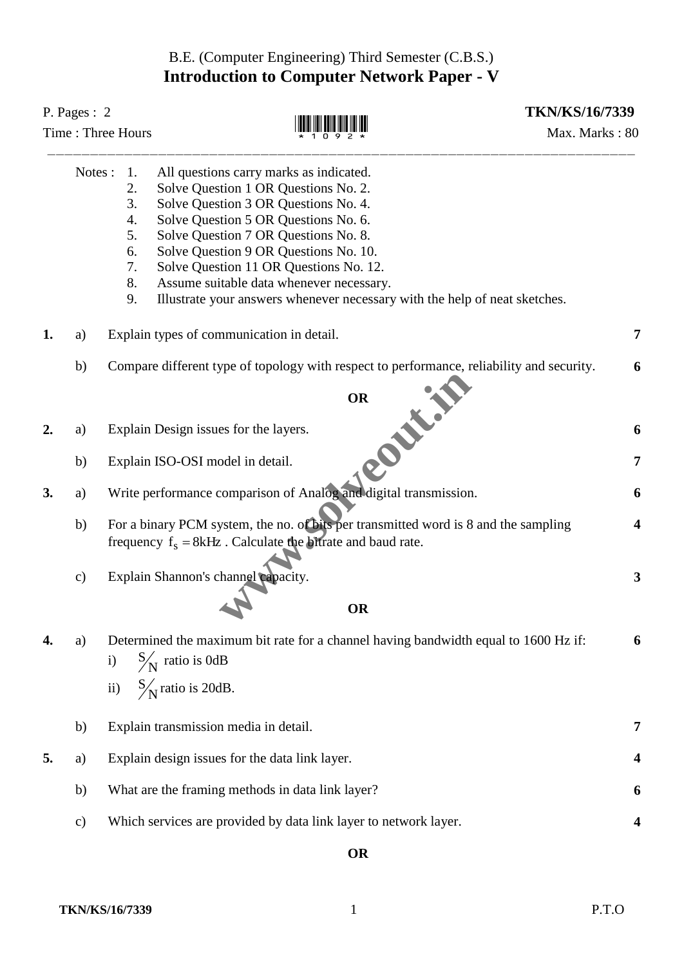## B.E. (Computer Engineering) Third Semester (C.B.S.) **Introduction to Computer Network Paper - V**

| P. Pages: $2$<br>Time: Three Hours |               |                                                    |                                                                                                                                                                                                                                                                                                                                                                                                                      | <b>TKN/KS/16/7339</b><br>Max. Marks: 80 |  |
|------------------------------------|---------------|----------------------------------------------------|----------------------------------------------------------------------------------------------------------------------------------------------------------------------------------------------------------------------------------------------------------------------------------------------------------------------------------------------------------------------------------------------------------------------|-----------------------------------------|--|
|                                    | Notes:        | 1.<br>2.<br>3.<br>4.<br>5.<br>6.<br>7.<br>8.<br>9. | All questions carry marks as indicated.<br>Solve Question 1 OR Questions No. 2.<br>Solve Question 3 OR Questions No. 4.<br>Solve Question 5 OR Questions No. 6.<br>Solve Question 7 OR Questions No. 8.<br>Solve Question 9 OR Questions No. 10.<br>Solve Question 11 OR Questions No. 12.<br>Assume suitable data whenever necessary.<br>Illustrate your answers whenever necessary with the help of neat sketches. |                                         |  |
| 1.                                 | a)            |                                                    | Explain types of communication in detail.                                                                                                                                                                                                                                                                                                                                                                            | 7                                       |  |
|                                    | b)            |                                                    | Compare different type of topology with respect to performance, reliability and security.                                                                                                                                                                                                                                                                                                                            | 6                                       |  |
|                                    |               |                                                    | <b>OR</b><br><b>ONLY!</b>                                                                                                                                                                                                                                                                                                                                                                                            |                                         |  |
| $\overline{2}$ .                   | a)            |                                                    | Explain Design issues for the layers.                                                                                                                                                                                                                                                                                                                                                                                | 6                                       |  |
|                                    | b)            |                                                    | Explain ISO-OSI model in detail.                                                                                                                                                                                                                                                                                                                                                                                     | 7                                       |  |
| 3.                                 | a)            |                                                    | Write performance comparison of Analog and digital transmission.                                                                                                                                                                                                                                                                                                                                                     | 6                                       |  |
|                                    | b)            |                                                    | For a binary PCM system, the no. of bits per transmitted word is 8 and the sampling<br>frequency $f_s = 8kHz$ . Calculate the bitrate and baud rate.                                                                                                                                                                                                                                                                 | 4                                       |  |
|                                    | $\mathbf{c})$ |                                                    | Explain Shannon's channel capacity.<br><b>OR</b>                                                                                                                                                                                                                                                                                                                                                                     | 3                                       |  |
| 4.                                 | a)            |                                                    | Determined the maximum bit rate for a channel having bandwidth equal to 1600 Hz if:                                                                                                                                                                                                                                                                                                                                  | 6                                       |  |
|                                    |               | $\mathbf{i}$                                       | $S_{\text{N}}$ ratio is 0dB                                                                                                                                                                                                                                                                                                                                                                                          |                                         |  |
|                                    |               | $\mathbf{ii}$                                      | $S/N$ ratio is 20dB.                                                                                                                                                                                                                                                                                                                                                                                                 |                                         |  |
|                                    | b)            |                                                    | Explain transmission media in detail.                                                                                                                                                                                                                                                                                                                                                                                | 7                                       |  |
| 5.                                 | a)            |                                                    | Explain design issues for the data link layer.                                                                                                                                                                                                                                                                                                                                                                       | 4                                       |  |
|                                    | b)            |                                                    | What are the framing methods in data link layer?                                                                                                                                                                                                                                                                                                                                                                     | 6                                       |  |
|                                    | $\mathbf{c})$ |                                                    | Which services are provided by data link layer to network layer.                                                                                                                                                                                                                                                                                                                                                     |                                         |  |
|                                    |               |                                                    |                                                                                                                                                                                                                                                                                                                                                                                                                      |                                         |  |